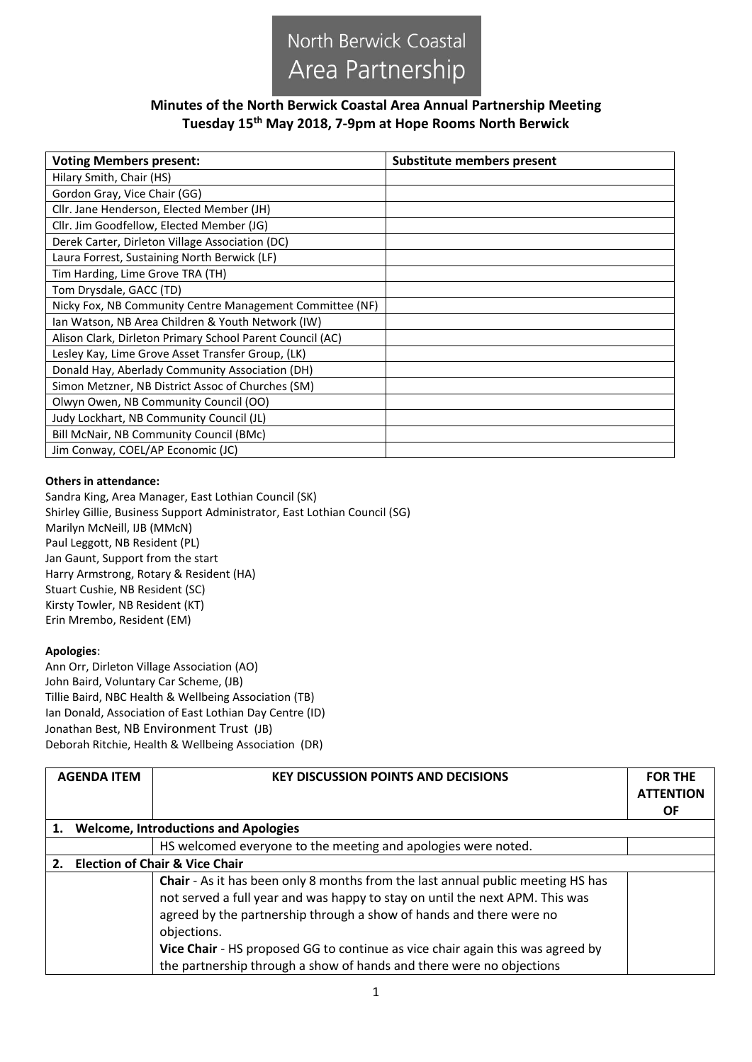## North Berwick Coastal Area Partnership

## **Minutes of the North Berwick Coastal Area Annual Partnership Meeting Tuesday 15th May 2018, 7-9pm at Hope Rooms North Berwick**

| <b>Voting Members present:</b>                            | Substitute members present |  |
|-----------------------------------------------------------|----------------------------|--|
| Hilary Smith, Chair (HS)                                  |                            |  |
| Gordon Gray, Vice Chair (GG)                              |                            |  |
| Cllr. Jane Henderson, Elected Member (JH)                 |                            |  |
| Cllr. Jim Goodfellow, Elected Member (JG)                 |                            |  |
| Derek Carter, Dirleton Village Association (DC)           |                            |  |
| Laura Forrest, Sustaining North Berwick (LF)              |                            |  |
| Tim Harding, Lime Grove TRA (TH)                          |                            |  |
| Tom Drysdale, GACC (TD)                                   |                            |  |
| Nicky Fox, NB Community Centre Management Committee (NF)  |                            |  |
| Ian Watson, NB Area Children & Youth Network (IW)         |                            |  |
| Alison Clark, Dirleton Primary School Parent Council (AC) |                            |  |
| Lesley Kay, Lime Grove Asset Transfer Group, (LK)         |                            |  |
| Donald Hay, Aberlady Community Association (DH)           |                            |  |
| Simon Metzner, NB District Assoc of Churches (SM)         |                            |  |
| Olwyn Owen, NB Community Council (OO)                     |                            |  |
| Judy Lockhart, NB Community Council (JL)                  |                            |  |
| Bill McNair, NB Community Council (BMc)                   |                            |  |
| Jim Conway, COEL/AP Economic (JC)                         |                            |  |

## **Others in attendance:**

Sandra King, Area Manager, East Lothian Council (SK) Shirley Gillie, Business Support Administrator, East Lothian Council (SG) Marilyn McNeill, IJB (MMcN) Paul Leggott, NB Resident (PL) Jan Gaunt, Support from the start Harry Armstrong, Rotary & Resident (HA) Stuart Cushie, NB Resident (SC) Kirsty Towler, NB Resident (KT) Erin Mrembo, Resident (EM)

## **Apologies**:

Ann Orr, Dirleton Village Association (AO) John Baird, Voluntary Car Scheme, (JB) Tillie Baird, NBC Health & Wellbeing Association (TB) Ian Donald, Association of East Lothian Day Centre (ID) Jonathan Best, NB Environment Trust (JB) Deborah Ritchie, Health & Wellbeing Association (DR)

|                                                 | <b>AGENDA ITEM</b> | <b>KEY DISCUSSION POINTS AND DECISIONS</b>                                                                                                                                                                                                                                                                                                                                                                             | <b>FOR THE</b><br><b>ATTENTION</b><br><b>OF</b> |  |
|-------------------------------------------------|--------------------|------------------------------------------------------------------------------------------------------------------------------------------------------------------------------------------------------------------------------------------------------------------------------------------------------------------------------------------------------------------------------------------------------------------------|-------------------------------------------------|--|
| <b>Welcome, Introductions and Apologies</b>     |                    |                                                                                                                                                                                                                                                                                                                                                                                                                        |                                                 |  |
|                                                 |                    | HS welcomed everyone to the meeting and apologies were noted.                                                                                                                                                                                                                                                                                                                                                          |                                                 |  |
| <b>Election of Chair &amp; Vice Chair</b><br>2. |                    |                                                                                                                                                                                                                                                                                                                                                                                                                        |                                                 |  |
|                                                 |                    | <b>Chair</b> - As it has been only 8 months from the last annual public meeting HS has<br>not served a full year and was happy to stay on until the next APM. This was<br>agreed by the partnership through a show of hands and there were no<br>objections.<br>Vice Chair - HS proposed GG to continue as vice chair again this was agreed by<br>the partnership through a show of hands and there were no objections |                                                 |  |